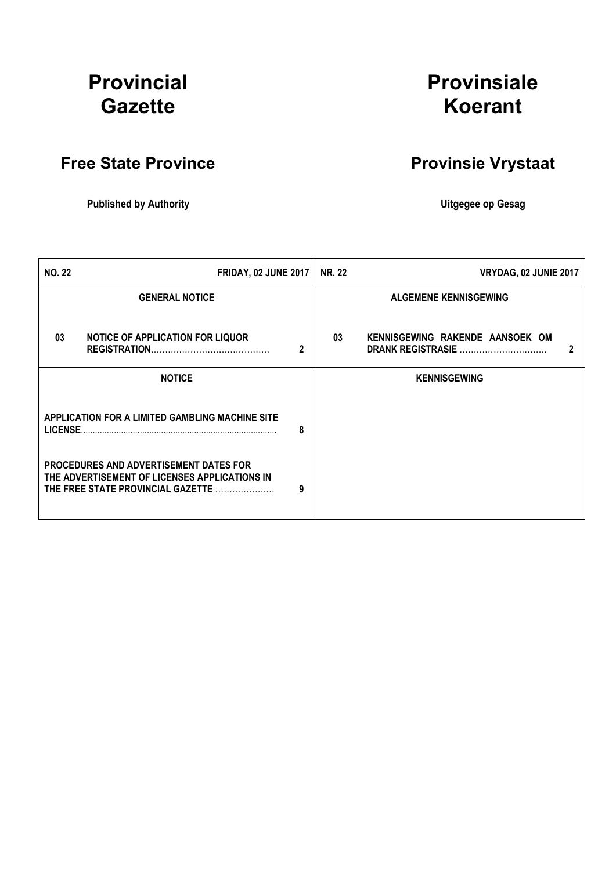## Provincial **Gazette**

# Provinsiale Koerant

## Free State Province **Provinsie Vrystaat**

### Published by Authority **National Execution Control Control Control Control Control Control Control Control Control Control Control Control Control Control Control Control Control Control Control Control Control Control Con**

| <b>NO. 22</b> | <b>FRIDAY, 02 JUNE 2017</b>                                                                                                         |   | <b>NR. 22</b> | VRYDAG, 02 JUNIE 2017                                                |
|---------------|-------------------------------------------------------------------------------------------------------------------------------------|---|---------------|----------------------------------------------------------------------|
|               | <b>GENERAL NOTICE</b>                                                                                                               |   |               | <b>ALGEMENE KENNISGEWING</b>                                         |
| 03            | <b>NOTICE OF APPLICATION FOR LIQUOR</b>                                                                                             | 2 | 03            | KENNISGEWING RAKENDE AANSOEK OM<br>$\mathbf{2}$<br>DRANK REGISTRASIE |
|               | <b>NOTICE</b>                                                                                                                       |   |               | <b>KENNISGEWING</b>                                                  |
| LICENSE.      | APPLICATION FOR A LIMITED GAMBLING MACHINE SITE                                                                                     | 8 |               |                                                                      |
|               | <b>PROCEDURES AND ADVERTISEMENT DATES FOR</b><br>THE ADVERTISEMENT OF LICENSES APPLICATIONS IN<br>THE FREE STATE PROVINCIAL GAZETTE | 9 |               |                                                                      |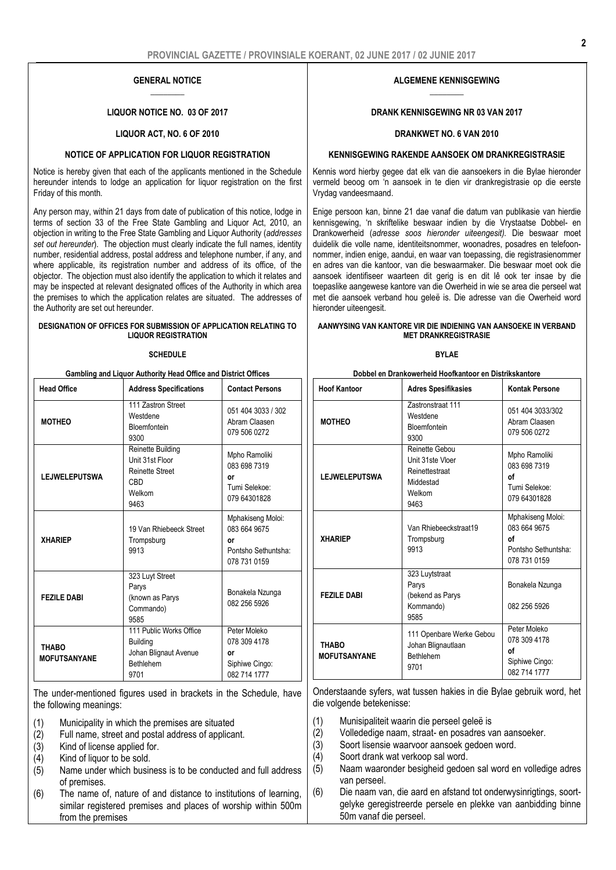#### GENERAL NOTICE  $\overline{\phantom{a}}$

#### LIQUOR NOTICE NO. 03 OF 2017

#### LIQUOR ACT, NO. 6 OF 2010

#### NOTICE OF APPLICATION FOR LIQUOR REGISTRATION

Notice is hereby given that each of the applicants mentioned in the Schedule hereunder intends to lodge an application for liquor registration on the first Friday of this month.

Any person may, within 21 days from date of publication of this notice, lodge in terms of section 33 of the Free State Gambling and Liquor Act, 2010, an objection in writing to the Free State Gambling and Liquor Authority (*addresses set out hereunder*). The objection must clearly indicate the full names, identity number, residential address, postal address and telephone number, if any, and where applicable, its registration number and address of its office, of the objector. The objection must also identify the application to which it relates and may be inspected at relevant designated offices of the Authority in which area the premises to which the application relates are situated. The addresses of the Authority are set out hereunder.

#### DESIGNATION OF OFFICES FOR SUBMISSION OF APPLICATION RELATING TO LIQUOR REGISTRATION

#### **SCHEDULE**

| Gambling and Liquor Authority Head Office and District Offices |                                                                                                |                                                                                |  |
|----------------------------------------------------------------|------------------------------------------------------------------------------------------------|--------------------------------------------------------------------------------|--|
| <b>Head Office</b>                                             | <b>Address Specifications</b>                                                                  | <b>Contact Persons</b>                                                         |  |
| <b>MOTHEO</b>                                                  | 111 Zastron Street<br>Westdene<br><b>Bloemfontein</b><br>9300                                  | 051 404 3033 / 302<br>Abram Claasen<br>079 506 0272                            |  |
| <b>LEJWELEPUTSWA</b>                                           | Reinette Building<br>Unit 31st Floor<br><b>Reinette Street</b><br><b>CBD</b><br>Welkom<br>9463 | Mpho Ramoliki<br>083 698 7319<br>٥r<br>Tumi Selekoe:<br>079 64301828           |  |
| <b>XHARIEP</b>                                                 | 19 Van Rhiebeeck Street<br>Trompsburg<br>9913                                                  | Mphakiseng Moloi:<br>083 664 9675<br>٥r<br>Pontsho Sethuntsha:<br>078 731 0159 |  |
| <b>FEZILE DABI</b>                                             | 323 Luyt Street<br>Parys<br>(known as Parys<br>Commando)<br>9585                               | Bonakela Nzunga<br>082 256 5926                                                |  |
| <b>THABO</b><br><b>MOFUTSANYANE</b>                            | 111 Public Works Office<br><b>Building</b><br>Johan Blignaut Avenue<br>Bethlehem<br>9701       | Peter Moleko<br>078 309 4178<br>٥r<br>Siphiwe Cingo:<br>082 714 1777           |  |

The under-mentioned figures used in brackets in the Schedule, have the following meanings:

- (1) Municipality in which the premises are situated
- (2) Full name, street and postal address of applicant.
- (3) Kind of license applied for.<br>  $(4)$  Kind of liquor to be sold.
- Kind of liquor to be sold.
- $(5)$  Name under which business is to be conducted and full address of premises.
- (6) The name of, nature of and distance to institutions of learning, similar registered premises and places of worship within 500m from the premises

#### ALGEMENE KENNISGEWING  $\overline{\phantom{a}}$

#### DRANK KENNISGEWING NR 03 VAN 2017

#### DRANKWET NO. 6 VAN 2010

#### KENNISGEWING RAKENDE AANSOEK OM DRANKREGISTRASIE

Kennis word hierby gegee dat elk van die aansoekers in die Bylae hieronder vermeld beoog om 'n aansoek in te dien vir drankregistrasie op die eerste Vrydag vandeesmaand.

Enige persoon kan, binne 21 dae vanaf die datum van publikasie van hierdie kennisgewing, 'n skriftelike beswaar indien by die Vrystaatse Dobbel- en Drankowerheid (*adresse soos hieronder uiteengesit).* Die beswaar moet duidelik die volle name, identiteitsnommer, woonadres, posadres en telefoonnommer, indien enige, aandui, en waar van toepassing, die registrasienommer en adres van die kantoor, van die beswaarmaker. Die beswaar moet ook die aansoek identifiseer waarteen dit gerig is en dit lê ook ter insae by die toepaslike aangewese kantore van die Owerheid in wie se area die perseel wat met die aansoek verband hou geleë is. Die adresse van die Owerheid word hieronder uiteengesit.

#### AANWYSING VAN KANTORE VIR DIE INDIENING VAN AANSOEKE IN VERBAND MET DRANKREGISTRASIE

#### BYLAE

| Dobbel en Drankowerheid Hoofkantoor en Distrikskantore |  |
|--------------------------------------------------------|--|
|--------------------------------------------------------|--|

| <b>Hoof Kantoor</b>                 | <b>Adres Spesifikasies</b>                                                          | <b>Kontak Persone</b>                                                          |
|-------------------------------------|-------------------------------------------------------------------------------------|--------------------------------------------------------------------------------|
| <b>MOTHEO</b>                       | <b>Zastronstraat 111</b><br>Westdene<br><b>Bloemfontein</b><br>9300                 | 051 404 3033/302<br>Abram Claasen<br>079 506 0272                              |
| <b>LEJWELEPUTSWA</b>                | Reinette Gebou<br>Unit 31ste Vloer<br>Reinettestraat<br>Middestad<br>Welkom<br>9463 | Mpho Ramoliki<br>083 698 7319<br>οf<br>Tumi Selekoe:<br>079 64301828           |
| <b>XHARIEP</b>                      | Van Rhiebeeckstraat19<br>Trompsburg<br>9913                                         | Mphakiseng Moloi:<br>083 664 9675<br>οf<br>Pontsho Sethuntsha:<br>078 731 0159 |
| <b>FEZILE DABI</b>                  | 323 Luytstraat<br>Parys<br>(bekend as Parys<br>Kommando)<br>9585                    | Bonakela Nzunga<br>082 256 5926                                                |
| <b>THABO</b><br><b>MOFUTSANYANE</b> | 111 Openbare Werke Gebou<br>Johan Blignautlaan<br>Bethlehem<br>9701                 | Peter Moleko<br>078 309 4178<br>οf<br>Siphiwe Cingo:<br>082 714 1777           |

Onderstaande syfers, wat tussen hakies in die Bylae gebruik word, het die volgende betekenisse:

- (1) Munisipaliteit waarin die perseel geleë is
- (2) Vollededige naam, straat- en posadres van aansoeker.
- (3) Soort lisensie waarvoor aansoek gedoen word.
- (4) Soort drank wat verkoop sal word.
- (5) Naam waaronder besigheid gedoen sal word en volledige adres van perseel.
- (6) Die naam van, die aard en afstand tot onderwysinrigtings, soortgelyke geregistreerde persele en plekke van aanbidding binne 50m vanaf die perseel.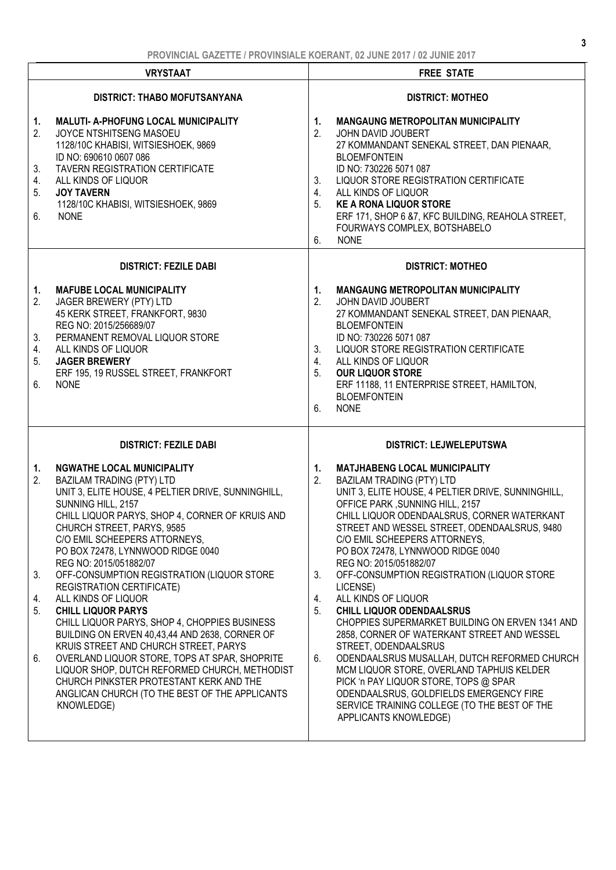| <b>VRYSTAAT</b>                                                                                                                                                                                                                                                                                                                                                                                                                                                                                                                                                                                                                                                                                                                                                                                                                                                       | <b>INVITIVIAL VALLITLE IT INVITIVIAL INVLIVATIT, VE VUITLEVIT I VE VUITLEVIT</b><br><b>FREE STATE</b>                                                                                                                                                                                                                                                                                                                                                                                                                                                                                                                                                                                                                                                                                                                                                                                                         |
|-----------------------------------------------------------------------------------------------------------------------------------------------------------------------------------------------------------------------------------------------------------------------------------------------------------------------------------------------------------------------------------------------------------------------------------------------------------------------------------------------------------------------------------------------------------------------------------------------------------------------------------------------------------------------------------------------------------------------------------------------------------------------------------------------------------------------------------------------------------------------|---------------------------------------------------------------------------------------------------------------------------------------------------------------------------------------------------------------------------------------------------------------------------------------------------------------------------------------------------------------------------------------------------------------------------------------------------------------------------------------------------------------------------------------------------------------------------------------------------------------------------------------------------------------------------------------------------------------------------------------------------------------------------------------------------------------------------------------------------------------------------------------------------------------|
| <b>DISTRICT: THABO MOFUTSANYANA</b>                                                                                                                                                                                                                                                                                                                                                                                                                                                                                                                                                                                                                                                                                                                                                                                                                                   | <b>DISTRICT: MOTHEO</b>                                                                                                                                                                                                                                                                                                                                                                                                                                                                                                                                                                                                                                                                                                                                                                                                                                                                                       |
| 1.<br><b>MALUTI- A-PHOFUNG LOCAL MUNICIPALITY</b><br>2.<br>JOYCE NTSHITSENG MASOEU<br>1128/10C KHABISI, WITSIESHOEK, 9869<br>ID NO: 690610 0607 086<br>TAVERN REGISTRATION CERTIFICATE<br>3.<br>4.<br>ALL KINDS OF LIQUOR<br>5.<br><b>JOY TAVERN</b><br>1128/10C KHABISI, WITSIESHOEK, 9869<br>6.<br><b>NONE</b>                                                                                                                                                                                                                                                                                                                                                                                                                                                                                                                                                      | <b>MANGAUNG METROPOLITAN MUNICIPALITY</b><br>1.<br>2.<br>JOHN DAVID JOUBERT<br>27 KOMMANDANT SENEKAL STREET, DAN PIENAAR,<br><b>BLOEMFONTEIN</b><br>ID NO: 730226 5071 087<br>LIQUOR STORE REGISTRATION CERTIFICATE<br>3.<br>4.<br>ALL KINDS OF LIQUOR<br>5.<br><b>KE A RONA LIQUOR STORE</b><br>ERF 171, SHOP 6 & 7, KFC BUILDING, REAHOLA STREET,<br>FOURWAYS COMPLEX, BOTSHABELO<br><b>NONE</b><br>6.                                                                                                                                                                                                                                                                                                                                                                                                                                                                                                      |
| <b>DISTRICT: FEZILE DABI</b>                                                                                                                                                                                                                                                                                                                                                                                                                                                                                                                                                                                                                                                                                                                                                                                                                                          | <b>DISTRICT: MOTHEO</b>                                                                                                                                                                                                                                                                                                                                                                                                                                                                                                                                                                                                                                                                                                                                                                                                                                                                                       |
| <b>MAFUBE LOCAL MUNICIPALITY</b><br>1.<br>2.<br>JAGER BREWERY (PTY) LTD<br>45 KERK STREET, FRANKFORT, 9830<br>REG NO: 2015/256689/07<br>PERMANENT REMOVAL LIQUOR STORE<br>3.<br>4.<br>ALL KINDS OF LIQUOR<br>5.<br><b>JAGER BREWERY</b><br>ERF 195, 19 RUSSEL STREET, FRANKFORT<br>6.<br><b>NONE</b>                                                                                                                                                                                                                                                                                                                                                                                                                                                                                                                                                                  | <b>MANGAUNG METROPOLITAN MUNICIPALITY</b><br>1.<br>2.<br>JOHN DAVID JOUBERT<br>27 KOMMANDANT SENEKAL STREET, DAN PIENAAR,<br><b>BLOEMFONTEIN</b><br>ID NO: 730226 5071 087<br>LIQUOR STORE REGISTRATION CERTIFICATE<br>3.<br>ALL KINDS OF LIQUOR<br>4.<br>5.<br><b>OUR LIQUOR STORE</b><br>ERF 11188, 11 ENTERPRISE STREET, HAMILTON,<br><b>BLOEMFONTEIN</b><br>6.<br><b>NONE</b>                                                                                                                                                                                                                                                                                                                                                                                                                                                                                                                             |
| <b>DISTRICT: FEZILE DABI</b>                                                                                                                                                                                                                                                                                                                                                                                                                                                                                                                                                                                                                                                                                                                                                                                                                                          | <b>DISTRICT: LEJWELEPUTSWA</b>                                                                                                                                                                                                                                                                                                                                                                                                                                                                                                                                                                                                                                                                                                                                                                                                                                                                                |
| <b>NGWATHE LOCAL MUNICIPALITY</b><br>1.<br><b>BAZILAM TRADING (PTY) LTD</b><br>2.<br>UNIT 3, ELITE HOUSE, 4 PELTIER DRIVE, SUNNINGHILL,<br>SUNNING HILL, 2157<br>CHILL LIQUOR PARYS, SHOP 4, CORNER OF KRUIS AND<br>CHURCH STREET, PARYS, 9585<br>C/O EMIL SCHEEPERS ATTORNEYS,<br>PO BOX 72478, LYNNWOOD RIDGE 0040<br>REG NO: 2015/051882/07<br>OFF-CONSUMPTION REGISTRATION (LIQUOR STORE<br>3.<br><b>REGISTRATION CERTIFICATE)</b><br>ALL KINDS OF LIQUOR<br>4.<br><b>CHILL LIQUOR PARYS</b><br>5.<br>CHILL LIQUOR PARYS, SHOP 4, CHOPPIES BUSINESS<br>BUILDING ON ERVEN 40,43,44 AND 2638, CORNER OF<br>KRUIS STREET AND CHURCH STREET, PARYS<br>OVERLAND LIQUOR STORE, TOPS AT SPAR, SHOPRITE<br>6.<br>LIQUOR SHOP, DUTCH REFORMED CHURCH, METHODIST<br>CHURCH PINKSTER PROTESTANT KERK AND THE<br>ANGLICAN CHURCH (TO THE BEST OF THE APPLICANTS<br>KNOWLEDGE) | <b>MATJHABENG LOCAL MUNICIPALITY</b><br>1.<br>2.<br><b>BAZILAM TRADING (PTY) LTD</b><br>UNIT 3, ELITE HOUSE, 4 PELTIER DRIVE, SUNNINGHILL,<br>OFFICE PARK, SUNNING HILL, 2157<br>CHILL LIQUOR ODENDAALSRUS, CORNER WATERKANT<br>STREET AND WESSEL STREET, ODENDAALSRUS, 9480<br>C/O EMIL SCHEEPERS ATTORNEYS.<br>PO BOX 72478, LYNNWOOD RIDGE 0040<br>REG NO: 2015/051882/07<br>OFF-CONSUMPTION REGISTRATION (LIQUOR STORE<br>3.<br>LICENSE)<br>ALL KINDS OF LIQUOR<br>4.<br>5.<br><b>CHILL LIQUOR ODENDAALSRUS</b><br>CHOPPIES SUPERMARKET BUILDING ON ERVEN 1341 AND<br>2858, CORNER OF WATERKANT STREET AND WESSEL<br>STREET, ODENDAALSRUS<br>ODENDAALSRUS MUSALLAH, DUTCH REFORMED CHURCH<br>6.<br>MCM LIQUOR STORE, OVERLAND TAPHUIS KELDER<br>PICK 'n PAY LIQUOR STORE, TOPS @ SPAR<br>ODENDAALSRUS, GOLDFIELDS EMERGENCY FIRE<br>SERVICE TRAINING COLLEGE (TO THE BEST OF THE<br>APPLICANTS KNOWLEDGE) |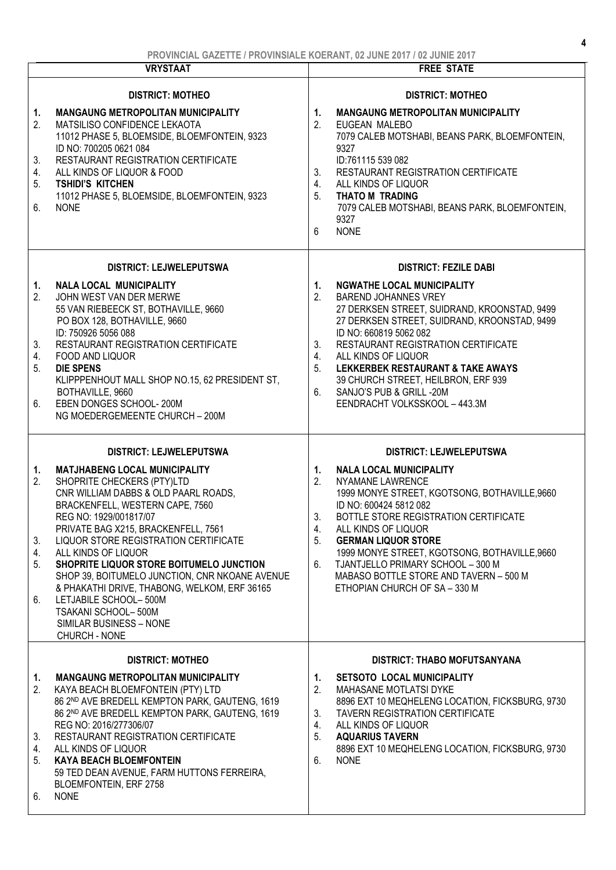| <b>VRYSTAAT</b>                  |                                                                                                                                                                                                                                                                                                                                                                                                                                                                                                                          | <b>FREE STATE</b>                                                                                                                                                                                                                                                                                                                                                                                                                     |  |
|----------------------------------|--------------------------------------------------------------------------------------------------------------------------------------------------------------------------------------------------------------------------------------------------------------------------------------------------------------------------------------------------------------------------------------------------------------------------------------------------------------------------------------------------------------------------|---------------------------------------------------------------------------------------------------------------------------------------------------------------------------------------------------------------------------------------------------------------------------------------------------------------------------------------------------------------------------------------------------------------------------------------|--|
|                                  | <b>DISTRICT: MOTHEO</b>                                                                                                                                                                                                                                                                                                                                                                                                                                                                                                  | <b>DISTRICT: MOTHEO</b>                                                                                                                                                                                                                                                                                                                                                                                                               |  |
| 1.<br>2.<br>3.<br>4.<br>5.<br>6. | <b>MANGAUNG METROPOLITAN MUNICIPALITY</b><br>MATSILISO CONFIDENCE LEKAOTA<br>11012 PHASE 5, BLOEMSIDE, BLOEMFONTEIN, 9323<br>ID NO: 700205 0621 084<br>RESTAURANT REGISTRATION CERTIFICATE<br>ALL KINDS OF LIQUOR & FOOD<br><b>TSHIDI'S KITCHEN</b><br>11012 PHASE 5, BLOEMSIDE, BLOEMFONTEIN, 9323<br><b>NONE</b>                                                                                                                                                                                                       | <b>MANGAUNG METROPOLITAN MUNICIPALITY</b><br>1.<br>2.<br>EUGEAN MALEBO<br>7079 CALEB MOTSHABI, BEANS PARK, BLOEMFONTEIN,<br>9327<br>ID:761115 539 082<br>3.<br>RESTAURANT REGISTRATION CERTIFICATE<br>4.<br>ALL KINDS OF LIQUOR<br>5.<br><b>THATO M TRADING</b><br>7079 CALEB MOTSHABI, BEANS PARK, BLOEMFONTEIN,<br>9327<br><b>NONE</b><br>6                                                                                         |  |
|                                  | <b>DISTRICT: LEJWELEPUTSWA</b>                                                                                                                                                                                                                                                                                                                                                                                                                                                                                           | <b>DISTRICT: FEZILE DABI</b>                                                                                                                                                                                                                                                                                                                                                                                                          |  |
| 1.<br>2.<br>3.<br>4.<br>5.<br>6. | <b>NALA LOCAL MUNICIPALITY</b><br>JOHN WEST VAN DER MERWE<br>55 VAN RIEBEECK ST, BOTHAVILLE, 9660<br>PO BOX 128, BOTHAVILLE, 9660<br>ID: 750926 5056 088<br><b>RESTAURANT REGISTRATION CERTIFICATE</b><br>FOOD AND LIQUOR<br><b>DIE SPENS</b><br>KLIPPPENHOUT MALL SHOP NO.15, 62 PRESIDENT ST,<br>BOTHAVILLE, 9660<br>EBEN DONGES SCHOOL-200M<br>NG MOEDERGEMEENTE CHURCH - 200M                                                                                                                                        | 1.<br><b>NGWATHE LOCAL MUNICIPALITY</b><br>2.<br><b>BAREND JOHANNES VREY</b><br>27 DERKSEN STREET, SUIDRAND, KROONSTAD, 9499<br>27 DERKSEN STREET, SUIDRAND, KROONSTAD, 9499<br>ID NO: 660819 5062 082<br>3.<br>RESTAURANT REGISTRATION CERTIFICATE<br>4.<br>ALL KINDS OF LIQUOR<br>5.<br>LEKKERBEK RESTAURANT & TAKE AWAYS<br>39 CHURCH STREET, HEILBRON, ERF 939<br>SANJO'S PUB & GRILL -20M<br>6.<br>EENDRACHT VOLKSSKOOL - 443.3M |  |
|                                  | <b>DISTRICT: LEJWELEPUTSWA</b>                                                                                                                                                                                                                                                                                                                                                                                                                                                                                           | <b>DISTRICT: LEJWELEPUTSWA</b>                                                                                                                                                                                                                                                                                                                                                                                                        |  |
| 1.<br>2.<br>3.<br>4.<br>5.<br>6. | <b>MATJHABENG LOCAL MUNICIPALITY</b><br>SHOPRITE CHECKERS (PTY)LTD<br>CNR WILLIAM DABBS & OLD PAARL ROADS,<br>BRACKENFELL, WESTERN CAPE, 7560<br>REG NO: 1929/001817/07<br>PRIVATE BAG X215, BRACKENFELL, 7561<br>LIQUOR STORE REGISTRATION CERTIFICATE<br>ALL KINDS OF LIQUOR<br>SHOPRITE LIQUOR STORE BOITUMELO JUNCTION<br>SHOP 39, BOITUMELO JUNCTION, CNR NKOANE AVENUE<br>& PHAKATHI DRIVE, THABONG, WELKOM, ERF 36165<br>LETJABILE SCHOOL-500M<br>TSAKANI SCHOOL-500M<br>SIMILAR BUSINESS - NONE<br>CHURCH - NONE | 1.<br><b>NALA LOCAL MUNICIPALITY</b><br>2.<br>NYAMANE LAWRENCE<br>1999 MONYE STREET, KGOTSONG, BOTHAVILLE, 9660<br>ID NO: 600424 5812 082<br>3.<br>BOTTLE STORE REGISTRATION CERTIFICATE<br>ALL KINDS OF LIQUOR<br>4.<br>5.<br><b>GERMAN LIQUOR STORE</b><br>1999 MONYE STREET, KGOTSONG, BOTHAVILLE, 9660<br>TJANTJELLO PRIMARY SCHOOL - 300 M<br>6.<br>MABASO BOTTLE STORE AND TAVERN - 500 M<br>ETHOPIAN CHURCH OF SA - 330 M      |  |
|                                  | <b>DISTRICT: MOTHEO</b>                                                                                                                                                                                                                                                                                                                                                                                                                                                                                                  | <b>DISTRICT: THABO MOFUTSANYANA</b>                                                                                                                                                                                                                                                                                                                                                                                                   |  |
| 1.<br>2.<br>3.<br>4.<br>5.       | <b>MANGAUNG METROPOLITAN MUNICIPALITY</b><br>KAYA BEACH BLOEMFONTEIN (PTY) LTD<br>86 2ND AVE BREDELL KEMPTON PARK, GAUTENG, 1619<br>86 2ND AVE BREDELL KEMPTON PARK, GAUTENG, 1619<br>REG NO: 2016/277306/07<br><b>RESTAURANT REGISTRATION CERTIFICATE</b><br>ALL KINDS OF LIQUOR<br><b>KAYA BEACH BLOEMFONTEIN</b><br>59 TED DEAN AVENUE, FARM HUTTONS FERREIRA,<br>BLOEMFONTEIN, ERF 2758<br><b>NONE</b>                                                                                                               | <b>SETSOTO LOCAL MUNICIPALITY</b><br>1.<br>2.<br>MAHASANE MOTLATSI DYKE<br>8896 EXT 10 MEQHELENG LOCATION, FICKSBURG, 9730<br>TAVERN REGISTRATION CERTIFICATE<br>3.<br>ALL KINDS OF LIQUOR<br>4.<br>5.<br><b>AQUARIUS TAVERN</b><br>8896 EXT 10 MEQHELENG LOCATION, FICKSBURG, 9730<br>6.<br><b>NONE</b>                                                                                                                              |  |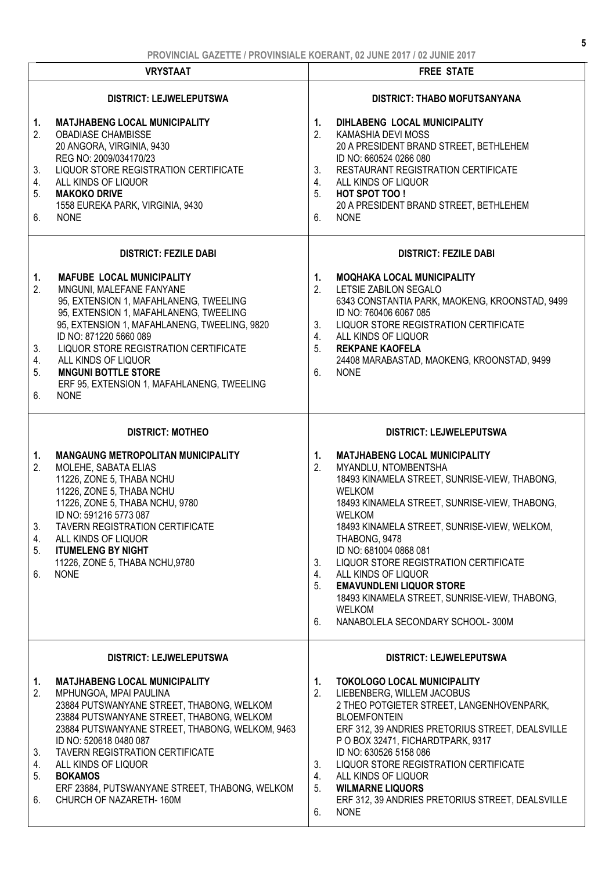|                                  | <b>VRYSTAAT</b>                                                                                                                                                                                                                                                                                                                                                                                | <b>FREE STATE</b>                                                                                                                                                                                                                                                                                                                                                                                                                                                                                                                                    |
|----------------------------------|------------------------------------------------------------------------------------------------------------------------------------------------------------------------------------------------------------------------------------------------------------------------------------------------------------------------------------------------------------------------------------------------|------------------------------------------------------------------------------------------------------------------------------------------------------------------------------------------------------------------------------------------------------------------------------------------------------------------------------------------------------------------------------------------------------------------------------------------------------------------------------------------------------------------------------------------------------|
|                                  | <b>DISTRICT: LEJWELEPUTSWA</b>                                                                                                                                                                                                                                                                                                                                                                 | <b>DISTRICT: THABO MOFUTSANYANA</b>                                                                                                                                                                                                                                                                                                                                                                                                                                                                                                                  |
| 1.<br>2.<br>3.<br>4.<br>5.<br>6. | <b>MATJHABENG LOCAL MUNICIPALITY</b><br><b>OBADIASE CHAMBISSE</b><br>20 ANGORA, VIRGINIA, 9430<br>REG NO: 2009/034170/23<br>LIQUOR STORE REGISTRATION CERTIFICATE<br>ALL KINDS OF LIQUOR<br><b>MAKOKO DRIVE</b><br>1558 EUREKA PARK, VIRGINIA, 9430<br><b>NONE</b>                                                                                                                             | DIHLABENG LOCAL MUNICIPALITY<br>1.<br>2.<br>KAMASHIA DEVI MOSS<br>20 A PRESIDENT BRAND STREET, BETHLEHEM<br>ID NO: 660524 0266 080<br>3.<br>RESTAURANT REGISTRATION CERTIFICATE<br>ALL KINDS OF LIQUOR<br>4.<br>5.<br>HOT SPOT TOO!<br>20 A PRESIDENT BRAND STREET, BETHLEHEM<br><b>NONE</b><br>6.                                                                                                                                                                                                                                                   |
|                                  | <b>DISTRICT: FEZILE DABI</b>                                                                                                                                                                                                                                                                                                                                                                   | <b>DISTRICT: FEZILE DABI</b>                                                                                                                                                                                                                                                                                                                                                                                                                                                                                                                         |
| 1.<br>2.<br>3.<br>4.<br>5.<br>6. | <b>MAFUBE LOCAL MUNICIPALITY</b><br>MNGUNI, MALEFANE FANYANE<br>95, EXTENSION 1, MAFAHLANENG, TWEELING<br>95, EXTENSION 1, MAFAHLANENG, TWEELING<br>95, EXTENSION 1, MAFAHLANENG, TWEELING, 9820<br>ID NO: 871220 5660 089<br>LIQUOR STORE REGISTRATION CERTIFICATE<br>ALL KINDS OF LIQUOR<br><b>MNGUNI BOTTLE STORE</b><br>ERF 95, EXTENSION 1, MAFAHLANENG, TWEELING<br><b>NONE</b>          | <b>MOQHAKA LOCAL MUNICIPALITY</b><br>1.<br>2.<br>LETSIE ZABILON SEGALO<br>6343 CONSTANTIA PARK, MAOKENG, KROONSTAD, 9499<br>ID NO: 760406 6067 085<br>3.<br>LIQUOR STORE REGISTRATION CERTIFICATE<br>ALL KINDS OF LIQUOR<br>4.<br><b>REKPANE KAOFELA</b><br>5.<br>24408 MARABASTAD, MAOKENG, KROONSTAD, 9499<br>6.<br><b>NONE</b>                                                                                                                                                                                                                    |
|                                  | <b>DISTRICT: MOTHEO</b>                                                                                                                                                                                                                                                                                                                                                                        | <b>DISTRICT: LEJWELEPUTSWA</b>                                                                                                                                                                                                                                                                                                                                                                                                                                                                                                                       |
| 1.<br>2.<br>3.<br>4.<br>5.<br>6. | <b>MANGAUNG METROPOLITAN MUNICIPALITY</b><br>MOLEHE, SABATA ELIAS<br>11226, ZONE 5, THABA NCHU<br>11226, ZONE 5, THABA NCHU<br>11226, ZONE 5, THABA NCHU, 9780<br>ID NO: 591216 5773 087<br><b>TAVERN REGISTRATION CERTIFICATE</b><br>ALL KINDS OF LIQUOR<br><b>ITUMELENG BY NIGHT</b><br>11226, ZONE 5, THABA NCHU, 9780<br><b>NONE</b>                                                       | 1.<br><b>MATJHABENG LOCAL MUNICIPALITY</b><br>2.<br>MYANDLU, NTOMBENTSHA<br>18493 KINAMELA STREET, SUNRISE-VIEW, THABONG,<br><b>WELKOM</b><br>18493 KINAMELA STREET, SUNRISE-VIEW, THABONG,<br><b>WELKOM</b><br>18493 KINAMELA STREET, SUNRISE-VIEW, WELKOM,<br>THABONG, 9478<br>ID NO: 681004 0868 081<br>3.<br>LIQUOR STORE REGISTRATION CERTIFICATE<br>4.<br>ALL KINDS OF LIQUOR<br>5 <sub>1</sub><br><b>EMAVUNDLENI LIQUOR STORE</b><br>18493 KINAMELA STREET, SUNRISE-VIEW, THABONG,<br><b>WELKOM</b><br>NANABOLELA SECONDARY SCHOOL-300M<br>6. |
|                                  | <b>DISTRICT: LEJWELEPUTSWA</b>                                                                                                                                                                                                                                                                                                                                                                 | <b>DISTRICT: LEJWELEPUTSWA</b>                                                                                                                                                                                                                                                                                                                                                                                                                                                                                                                       |
| 1.<br>2.<br>3.<br>4.<br>5.<br>6. | <b>MATJHABENG LOCAL MUNICIPALITY</b><br>MPHUNGOA, MPAI PAULINA<br>23884 PUTSWANYANE STREET, THABONG, WELKOM<br>23884 PUTSWANYANE STREET, THABONG, WELKOM<br>23884 PUTSWANYANE STREET, THABONG, WELKOM, 9463<br>ID NO: 520618 0480 087<br>TAVERN REGISTRATION CERTIFICATE<br>ALL KINDS OF LIQUOR<br><b>BOKAMOS</b><br>ERF 23884, PUTSWANYANE STREET, THABONG, WELKOM<br>CHURCH OF NAZARETH-160M | <b>TOKOLOGO LOCAL MUNICIPALITY</b><br>1.<br>2.<br>LIEBENBERG, WILLEM JACOBUS<br>2 THEO POTGIETER STREET, LANGENHOVENPARK,<br><b>BLOEMFONTEIN</b><br>ERF 312, 39 ANDRIES PRETORIUS STREET, DEALSVILLE<br>P O BOX 32471, FICHARDTPARK, 9317<br>ID NO: 630526 5158 086<br>LIQUOR STORE REGISTRATION CERTIFICATE<br>3.<br>ALL KINDS OF LIQUOR<br>4.<br><b>WILMARNE LIQUORS</b><br>5.<br>ERF 312, 39 ANDRIES PRETORIUS STREET, DEALSVILLE<br>6.<br><b>NONE</b>                                                                                            |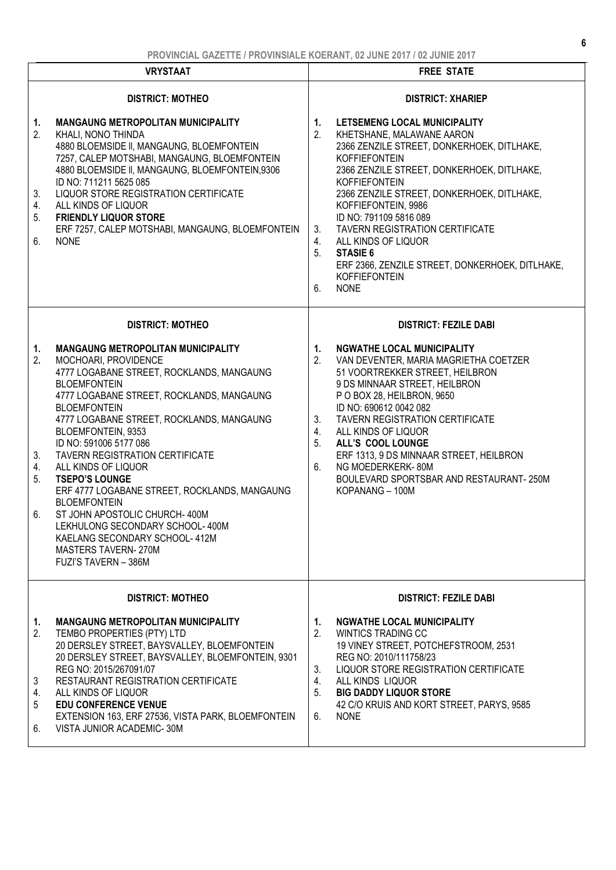| <b>VRYSTAAT</b>                  |                                                                                                                                                                                                                                                                                                                                                                                                                                                                                                                                                                                                                                                           | <b>FREE STATE</b>                                                                                                                                                                                                                                                                                                                                                                                                                                                                                                                                  |  |
|----------------------------------|-----------------------------------------------------------------------------------------------------------------------------------------------------------------------------------------------------------------------------------------------------------------------------------------------------------------------------------------------------------------------------------------------------------------------------------------------------------------------------------------------------------------------------------------------------------------------------------------------------------------------------------------------------------|----------------------------------------------------------------------------------------------------------------------------------------------------------------------------------------------------------------------------------------------------------------------------------------------------------------------------------------------------------------------------------------------------------------------------------------------------------------------------------------------------------------------------------------------------|--|
| 1.<br>2.<br>3.<br>4.<br>5.<br>6. | <b>DISTRICT: MOTHEO</b><br><b>MANGAUNG METROPOLITAN MUNICIPALITY</b><br>KHALI, NONO THINDA<br>4880 BLOEMSIDE II, MANGAUNG, BLOEMFONTEIN<br>7257, CALEP MOTSHABI, MANGAUNG, BLOEMFONTEIN<br>4880 BLOEMSIDE II, MANGAUNG, BLOEMFONTEIN,9306<br>ID NO: 711211 5625 085<br>LIQUOR STORE REGISTRATION CERTIFICATE<br>ALL KINDS OF LIQUOR<br><b>FRIENDLY LIQUOR STORE</b><br>ERF 7257, CALEP MOTSHABI, MANGAUNG, BLOEMFONTEIN<br><b>NONE</b>                                                                                                                                                                                                                    | <b>DISTRICT: XHARIEP</b><br>1.<br>LETSEMENG LOCAL MUNICIPALITY<br>2.<br>KHETSHANE, MALAWANE AARON<br>2366 ZENZILE STREET, DONKERHOEK, DITLHAKE,<br><b>KOFFIEFONTEIN</b><br>2366 ZENZILE STREET, DONKERHOEK, DITLHAKE,<br><b>KOFFIEFONTEIN</b><br>2366 ZENZILE STREET, DONKERHOEK, DITLHAKE,<br>KOFFIEFONTEIN, 9986<br>ID NO: 791109 5816 089<br><b>TAVERN REGISTRATION CERTIFICATE</b><br>3.<br>ALL KINDS OF LIQUOR<br>4.<br>5.<br><b>STASIE 6</b><br>ERF 2366, ZENZILE STREET, DONKERHOEK, DITLHAKE,<br><b>KOFFIEFONTEIN</b><br><b>NONE</b><br>6. |  |
| 1.<br>2.<br>3.<br>4.<br>5.<br>6. | <b>DISTRICT: MOTHEO</b><br><b>MANGAUNG METROPOLITAN MUNICIPALITY</b><br>MOCHOARI, PROVIDENCE<br>4777 LOGABANE STREET, ROCKLANDS, MANGAUNG<br><b>BLOEMFONTEIN</b><br>4777 LOGABANE STREET, ROCKLANDS, MANGAUNG<br><b>BLOEMFONTEIN</b><br>4777 LOGABANE STREET, ROCKLANDS, MANGAUNG<br>BLOEMFONTEIN, 9353<br>ID NO: 591006 5177 086<br>TAVERN REGISTRATION CERTIFICATE<br>ALL KINDS OF LIQUOR<br><b>TSEPO'S LOUNGE</b><br>ERF 4777 LOGABANE STREET, ROCKLANDS, MANGAUNG<br><b>BLOEMFONTEIN</b><br>ST JOHN APOSTOLIC CHURCH- 400M<br>LEKHULONG SECONDARY SCHOOL- 400M<br>KAELANG SECONDARY SCHOOL-412M<br><b>MASTERS TAVERN-270M</b><br>FUZI'S TAVERN - 386M | <b>DISTRICT: FEZILE DABI</b><br>1.<br><b>NGWATHE LOCAL MUNICIPALITY</b><br>2.<br>VAN DEVENTER, MARIA MAGRIETHA COETZER<br>51 VOORTREKKER STREET, HEILBRON<br>9 DS MINNAAR STREET, HEILBRON<br>P O BOX 28, HEILBRON, 9650<br>ID NO: 690612 0042 082<br>3.<br><b>TAVERN REGISTRATION CERTIFICATE</b><br>ALL KINDS OF LIQUOR<br>4.<br>5.<br>ALL'S COOL LOUNGE<br>ERF 1313, 9 DS MINNAAR STREET, HEILBRON<br>6.<br>NG MOEDERKERK-80M<br>BOULEVARD SPORTSBAR AND RESTAURANT-250M<br>KOPANANG - 100M                                                     |  |
| 1.<br>2.<br>3<br>4.<br>5<br>6.   | <b>DISTRICT: MOTHEO</b><br>MANGAUNG METROPOLITAN MUNICIPALITY<br>TEMBO PROPERTIES (PTY) LTD<br>20 DERSLEY STREET, BAYSVALLEY, BLOEMFONTEIN<br>20 DERSLEY STREET, BAYSVALLEY, BLOEMFONTEIN, 9301<br>REG NO: 2015/267091/07<br>RESTAURANT REGISTRATION CERTIFICATE<br>ALL KINDS OF LIQUOR<br><b>EDU CONFERENCE VENUE</b><br>EXTENSION 163, ERF 27536, VISTA PARK, BLOEMFONTEIN<br>VISTA JUNIOR ACADEMIC-30M                                                                                                                                                                                                                                                 | <b>DISTRICT: FEZILE DABI</b><br><b>NGWATHE LOCAL MUNICIPALITY</b><br>1.<br>2.<br><b>WINTICS TRADING CC</b><br>19 VINEY STREET, POTCHEFSTROOM, 2531<br>REG NO: 2010/111758/23<br>LIQUOR STORE REGISTRATION CERTIFICATE<br>3.<br>ALL KINDS LIQUOR<br>4.<br>5.<br><b>BIG DADDY LIQUOR STORE</b><br>42 C/O KRUIS AND KORT STREET, PARYS, 9585<br><b>NONE</b><br>6.                                                                                                                                                                                     |  |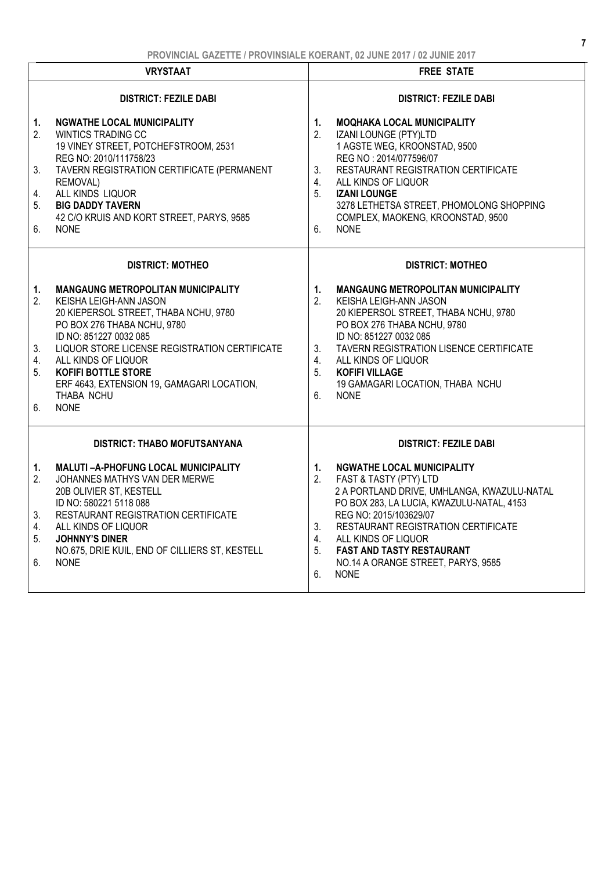|                                  | <b>VRYSTAAT</b>                                                                                                                                                                                                                                                                   | <b>FREE STATE</b>                                                                                                                                                                                                                                                                                                                                                            |
|----------------------------------|-----------------------------------------------------------------------------------------------------------------------------------------------------------------------------------------------------------------------------------------------------------------------------------|------------------------------------------------------------------------------------------------------------------------------------------------------------------------------------------------------------------------------------------------------------------------------------------------------------------------------------------------------------------------------|
|                                  | <b>DISTRICT: FEZILE DABI</b>                                                                                                                                                                                                                                                      | <b>DISTRICT: FEZILE DABI</b>                                                                                                                                                                                                                                                                                                                                                 |
| 1.<br>2.                         | NGWATHE LOCAL MUNICIPALITY<br><b>WINTICS TRADING CC</b><br>19 VINEY STREET, POTCHEFSTROOM, 2531<br>REG NO: 2010/111758/23                                                                                                                                                         | <b>MOQHAKA LOCAL MUNICIPALITY</b><br>1.<br>2.<br>IZANI LOUNGE (PTY)LTD<br>1 AGSTE WEG, KROONSTAD, 9500<br>REG NO: 2014/077596/07                                                                                                                                                                                                                                             |
| 3.<br>4.                         | TAVERN REGISTRATION CERTIFICATE (PERMANENT<br>REMOVAL)<br>ALL KINDS LIQUOR                                                                                                                                                                                                        | RESTAURANT REGISTRATION CERTIFICATE<br>3.<br>4.<br>ALL KINDS OF LIQUOR<br>5.<br><b>IZANI LOUNGE</b>                                                                                                                                                                                                                                                                          |
| 5.                               | <b>BIG DADDY TAVERN</b><br>42 C/O KRUIS AND KORT STREET, PARYS, 9585                                                                                                                                                                                                              | 3278 LETHETSA STREET, PHOMOLONG SHOPPING<br>COMPLEX, MAOKENG, KROONSTAD, 9500                                                                                                                                                                                                                                                                                                |
| 6.                               | <b>NONE</b>                                                                                                                                                                                                                                                                       | <b>NONE</b><br>6.                                                                                                                                                                                                                                                                                                                                                            |
|                                  | <b>DISTRICT: MOTHEO</b>                                                                                                                                                                                                                                                           | <b>DISTRICT: MOTHEO</b>                                                                                                                                                                                                                                                                                                                                                      |
| 1.<br>2.                         | <b>MANGAUNG METROPOLITAN MUNICIPALITY</b><br>KEISHA LEIGH-ANN JASON<br>20 KIEPERSOL STREET, THABA NCHU, 9780<br>PO BOX 276 THABA NCHU, 9780<br>ID NO: 851227 0032 085                                                                                                             | <b>MANGAUNG METROPOLITAN MUNICIPALITY</b><br>1.<br>2.<br>KEISHA LEIGH-ANN JASON<br>20 KIEPERSOL STREET, THABA NCHU, 9780<br>PO BOX 276 THABA NCHU, 9780<br>ID NO: 851227 0032 085                                                                                                                                                                                            |
| 3.<br>4.<br>5.                   | LIQUOR STORE LICENSE REGISTRATION CERTIFICATE<br>ALL KINDS OF LIQUOR<br><b>KOFIFI BOTTLE STORE</b><br>ERF 4643, EXTENSION 19, GAMAGARI LOCATION,                                                                                                                                  | TAVERN REGISTRATION LISENCE CERTIFICATE<br>3.<br>ALL KINDS OF LIQUOR<br>4.<br>5.<br><b>KOFIFI VILLAGE</b><br>19 GAMAGARI LOCATION, THABA NCHU                                                                                                                                                                                                                                |
| 6.                               | THABA NCHU<br><b>NONE</b>                                                                                                                                                                                                                                                         | <b>NONE</b><br>6.                                                                                                                                                                                                                                                                                                                                                            |
|                                  | <b>DISTRICT: THABO MOFUTSANYANA</b>                                                                                                                                                                                                                                               | <b>DISTRICT: FEZILE DABI</b>                                                                                                                                                                                                                                                                                                                                                 |
| 1.<br>2.<br>3.<br>4.<br>5.<br>6. | MALUTI-A-PHOFUNG LOCAL MUNICIPALITY<br>JOHANNES MATHYS VAN DER MERWE<br>20B OLIVIER ST, KESTELL<br>ID NO: 580221 5118 088<br>RESTAURANT REGISTRATION CERTIFICATE<br>ALL KINDS OF LIQUOR<br><b>JOHNNY'S DINER</b><br>NO.675, DRIE KUIL, END OF CILLIERS ST, KESTELL<br><b>NONE</b> | <b>NGWATHE LOCAL MUNICIPALITY</b><br>1.<br>FAST & TASTY (PTY) LTD<br>2.<br>2 A PORTLAND DRIVE, UMHLANGA, KWAZULU-NATAL<br>PO BOX 283, LA LUCIA, KWAZULU-NATAL, 4153<br>REG NO: 2015/103629/07<br>RESTAURANT REGISTRATION CERTIFICATE<br>3.<br>ALL KINDS OF LIQUOR<br>4.<br>5.<br><b>FAST AND TASTY RESTAURANT</b><br>NO.14 A ORANGE STREET, PARYS, 9585<br><b>NONE</b><br>6. |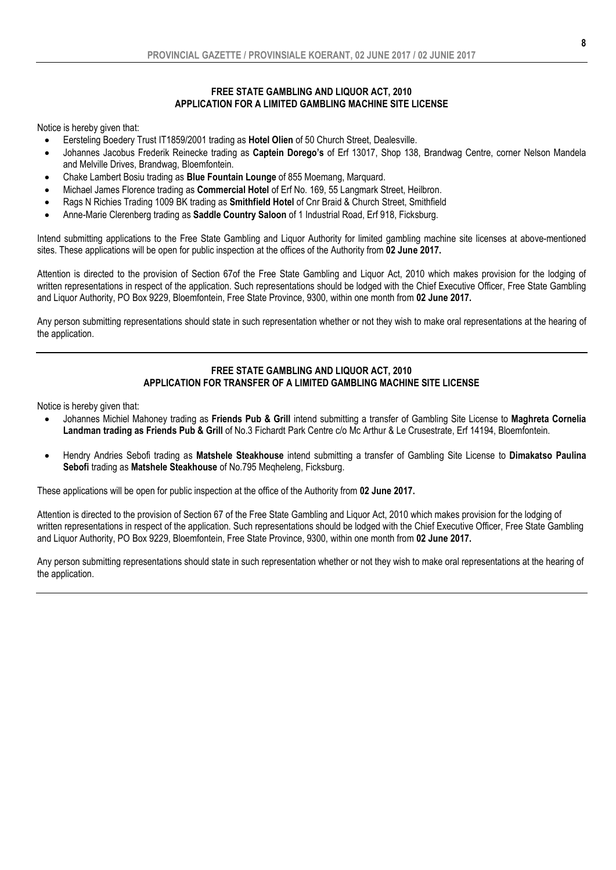#### FREE STATE GAMBLING AND LIQUOR ACT, 2010 APPLICATION FOR A LIMITED GAMBLING MACHINE SITE LICENSE

Notice is hereby given that:

- Eersteling Boedery Trust IT1859/2001 trading as Hotel Olien of 50 Church Street, Dealesville.
- Johannes Jacobus Frederik Reinecke trading as Captein Dorego's of Erf 13017, Shop 138, Brandwag Centre, corner Nelson Mandela and Melville Drives, Brandwag, Bloemfontein.
- Chake Lambert Bosiu trading as Blue Fountain Lounge of 855 Moemang, Marquard.
- Michael James Florence trading as Commercial Hotel of Erf No. 169, 55 Langmark Street, Heilbron.
- Rags N Richies Trading 1009 BK trading as Smithfield Hotel of Cnr Braid & Church Street, Smithfield
- Anne-Marie Clerenberg trading as Saddle Country Saloon of 1 Industrial Road, Erf 918, Ficksburg.

Intend submitting applications to the Free State Gambling and Liquor Authority for limited gambling machine site licenses at above-mentioned sites. These applications will be open for public inspection at the offices of the Authority from 02 June 2017.

Attention is directed to the provision of Section 67of the Free State Gambling and Liquor Act, 2010 which makes provision for the lodging of written representations in respect of the application. Such representations should be lodged with the Chief Executive Officer, Free State Gambling and Liquor Authority, PO Box 9229, Bloemfontein, Free State Province, 9300, within one month from 02 June 2017.

Any person submitting representations should state in such representation whether or not they wish to make oral representations at the hearing of the application.

#### FREE STATE GAMBLING AND LIQUOR ACT, 2010 APPLICATION FOR TRANSFER OF A LIMITED GAMBLING MACHINE SITE LICENSE

Notice is hereby given that:

- Johannes Michiel Mahoney trading as Friends Pub & Grill intend submitting a transfer of Gambling Site License to Maghreta Cornelia Landman trading as Friends Pub & Grill of No.3 Fichardt Park Centre c/o Mc Arthur & Le Crusestrate, Erf 14194, Bloemfontein.
- Hendry Andries Sebofi trading as Matshele Steakhouse intend submitting a transfer of Gambling Site License to Dimakatso Paulina Sebofi trading as Matshele Steakhouse of No.795 Megheleng, Ficksburg.

These applications will be open for public inspection at the office of the Authority from 02 June 2017.

Attention is directed to the provision of Section 67 of the Free State Gambling and Liquor Act, 2010 which makes provision for the lodging of written representations in respect of the application. Such representations should be lodged with the Chief Executive Officer, Free State Gambling and Liquor Authority, PO Box 9229, Bloemfontein, Free State Province, 9300, within one month from 02 June 2017.

Any person submitting representations should state in such representation whether or not they wish to make oral representations at the hearing of the application.